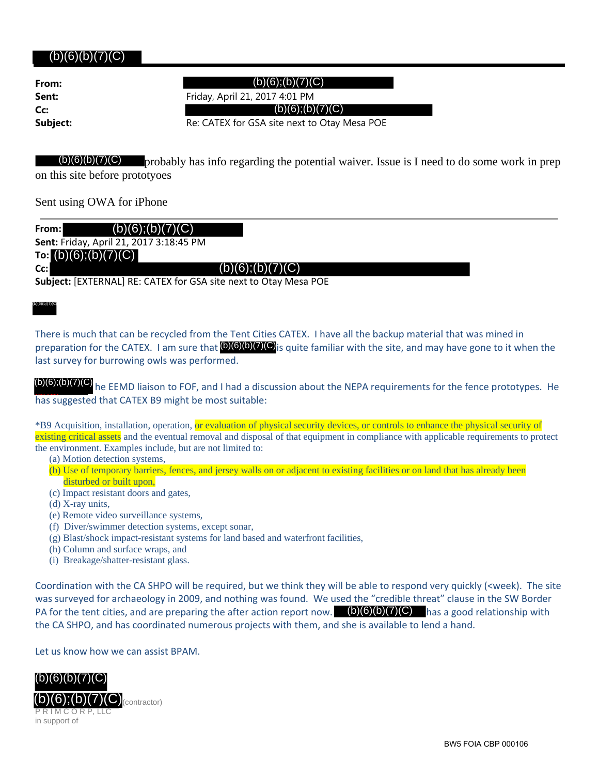## (b)(6)(b)(7)(C)

**From: Cc:**

**Sent:** Friday, April 21, 2017 4:01 PM

**Subject:** Re: CATEX for GSA site next to Otay Mesa POE

 $(b)(6)(b)(7)(C)$  probably has info regarding the potential waiver. Issue is I need to do some work in prep on this site before prototyoes

Sent using OWA for iPhone

| From: | (b)(6); (b)(7)(C)                                         |
|-------|-----------------------------------------------------------|
|       | $6.41.5$ $5.42.4$ $6.41.4$ $7.47.7$ $7.40.45$ $R_{\odot}$ |

**Sent:** Friday, April 21, 2017 3:18:45 PM

To:  $(b)(6)$ ; $(b)(7)(C)$ 

**Subject:** [EXTERNAL] RE: CATEX for GSA site next to Otay Mesa POE

(b)(6)(b)(7)(C)

**Cc:**

There is much that can be recycled from the Tent Cities CATEX. I have all the backup material that was mined in preparation for the CATEX. I am sure that (b)(6)(b)(7)(C) is quite familiar with the site, and may have gone to it when the last survey for burrowing owls was performed.

(b)(6);(b)(7)(C) he EEMD liaison to FOF, and I had a discussion about the NEPA requirements for the fence prototypes. He has suggested that CATEX B9 might be most suitable:

\*B9 Acquisition, installation, operation, or evaluation of physical security devices, or controls to enhance the physical security of existing critical assets and the eventual removal and disposal of that equipment in compliance with applicable requirements to protect the environment. Examples include, but are not limited to:

- (a) Motion detection systems,
- (b) Use of temporary barriers, fences, and jersey walls on or adjacent to existing facilities or on land that has already been disturbed or built upon,
- (c) Impact resistant doors and gates,
- (d) X-ray units,
- (e) Remote video surveillance systems,
- (f) Diver/swimmer detection systems, except sonar,
- (g) Blast/shock impact-resistant systems for land based and waterfront facilities,
- (h) Column and surface wraps, and
- (i) Breakage/shatter-resistant glass.

Coordination with the CA SHPO will be required, but we think they will be able to respond very quickly (<week). The site was surveyed for archaeology in 2009, and nothing was found. We used the "credible threat" clause in the SW Border PA for the tent cities, and are preparing the after action report now. (b)(6)(b)(7)(C) has a good relationship with the CA SHPO, and has coordinated numerous projects with them, and she is available to lend a hand. (b)(6)(b)(*c*)(C)  $\left\{ \right\}$  has suggested th<br>
\*B9 Acquisition, i<br>
existing critical as<br>
the environment. I<br>
(a) Motion det<br>
(b) Use of tem<br>
disturbed o<br>
(c) Impact resi<br>
(d) X-ray units<br>
(e) Remote vid<br>
(f) Diver/swin<br>
( (b) (6), (b) (7)(C) (b)(6);(b)(7)(C) (b)(6);(b)(7)(C) (b)(6);(b)(7)(C) (b)(6);(b)(7)(C) (b)(6);(b)(7)(C) (b)(6);(b)(7)(C) (b)(6);(b)(7)(C)

Let us know how we can assist BPAM.